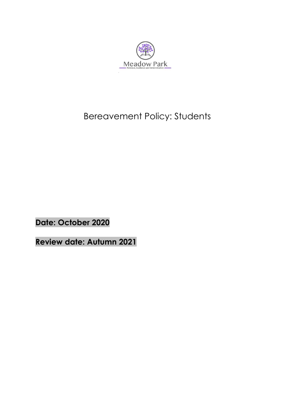

# Bereavement Policy: Students

**Date: October 2020**

**Review date: Autumn 2021**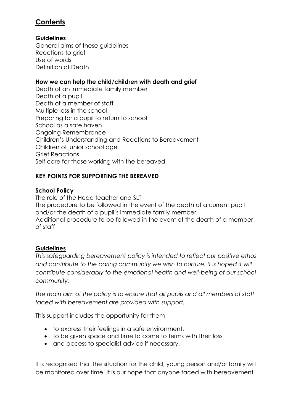# **Contents**

# **Guidelines**

General aims of these guidelines Reactions to grief Use of words Definition of Death

#### **How we can help the child/children with death and grief**

Death of an immediate family member Death of a pupil Death of a member of staff Multiple loss in the school Preparing for a pupil to return to school School as a safe haven Ongoing Remembrance Children's Understanding and Reactions to Bereavement Children of junior school age Grief Reactions Self care for those working with the bereaved

# **KEY POINTS FOR SUPPORTING THE BEREAVED**

#### **School Policy**

The role of the Head teacher and SLT The procedure to be followed in the event of the death of a current pupil and/or the death of a pupil's immediate family member. Additional procedure to be followed in the event of the death of a member of staff

# **Guidelines**

*This safeguarding bereavement policy is intended to reflect our positive ethos*  and contribute to the caring community we wish to nurture. It is hoped it will *contribute considerably to the emotional health and well-being of our school community.*

*The main aim of the policy is to ensure that all pupils and all members of staff faced with bereavement are provided with support.*

This support includes the opportunity for them

- to express their feelings in a safe environment,
- to be given space and time to come to terms with their loss
- and access to specialist advice if necessary.

It is recognised that the situation for the child, young person and/or family will be monitored over time. It is our hope that anyone faced with bereavement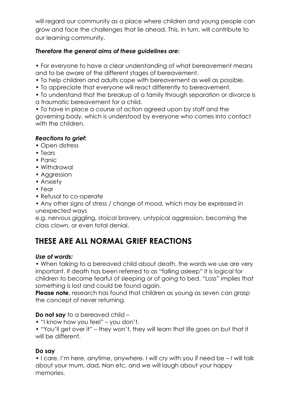will regard our community as a place where children and young people can grow and face the challenges that lie ahead. This, in turn, will contribute to our learning community.

# *Therefore the general aims of these guidelines are***:**

• For everyone to have a clear understanding of what bereavement means and to be aware of the different stages of bereavement.

- To help children and adults cope with bereavement as well as possible.
- To appreciate that everyone will react differently to bereavement.

• To understand that the breakup of a family through separation or divorce is a traumatic bereavement for a child.

• To have in place a course of action agreed upon by staff and the governing body, which is understood by everyone who comes into contact with the children.

# *Reactions to grief:*

- Open distress
- Tears
- Panic
- Withdrawal
- Aggression
- Anxiety
- Fear
- Refusal to co-operate

• Any other signs of stress / change of mood, which may be expressed in unexpected ways

e.g. nervous giggling, stoical bravery, untypical aggression, becoming the class clown, or even total denial.

# **THESE ARE ALL NORMAL GRIEF REACTIONS**

# *Use of words:*

• When talking to a bereaved child about death, the words we use are very important. If death has been referred to as "falling asleep" it is logical for children to become fearful of sleeping or of going to bed. "Loss" implies that something is lost and could be found again.

**Please note**, research has found that children as young as seven can grasp the concept of never returning.

# **Do not say** to a bereaved child –

• "I know how you feel" – you don't.

• "You'll get over it" – they won't, they will learn that life goes on but that it will be different.

# **Do say**

• I care. I'm here, anytime, anywhere. I will cry with you if need be – I will talk about your mum, dad, Nan etc, and we will laugh about your happy memories.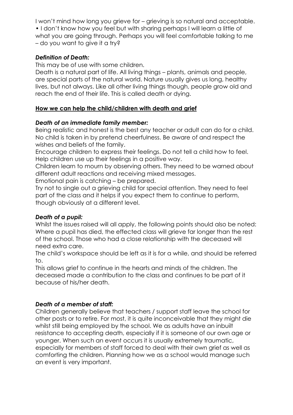I won't mind how long you grieve for – grieving is so natural and acceptable.

• I don't know how you feel but with sharing perhaps I will learn a little of what you are going through. Perhaps you will feel comfortable talking to me – do you want to give it a try?

# *Definition of Death:*

This may be of use with some children.

Death is a natural part of life. All living things – plants, animals and people, are special parts of the natural world. Nature usually gives us long, healthy lives, but not always. Like all other living things though, people grow old and reach the end of their life. This is called death or dying.

#### **How we can help the child/children with death and grief**

#### *Death of an immediate family member:*

Being realistic and honest is the best any teacher or adult can do for a child. No child is taken in by pretend cheerfulness. Be aware of and respect the wishes and beliefs of the family.

Encourage children to express their feelings. Do not tell a child how to feel. Help children use up their feelings in a positive way.

Children learn to mourn by observing others. They need to be warned about different adult reactions and receiving mixed messages.

Emotional pain is catching – be prepared.

Try not to single out a grieving child for special attention. They need to feel part of the class and it helps if you expect them to continue to perform, though obviously at a different level.

#### *Death of a pupil:*

Whilst the issues raised will all apply, the following points should also be noted: Where a pupil has died, the effected class will grieve far longer than the rest of the school. Those who had a close relationship with the deceased will need extra care.

The child's workspace should be left as it is for a while, and should be referred to.

This allows grief to continue in the hearts and minds of the children. The deceased made a contribution to the class and continues to be part of it because of his/her death.

# *Death of a member of staff:*

Children generally believe that teachers / support staff leave the school for other posts or to retire. For most, it is quite inconceivable that they might die whilst still being employed by the school. We as adults have an inbuilt resistance to accepting death, especially if it is someone of our own age or younger. When such an event occurs it is usually extremely traumatic, especially for members of staff forced to deal with their own grief as well as comforting the children. Planning how we as a school would manage such an event is very important.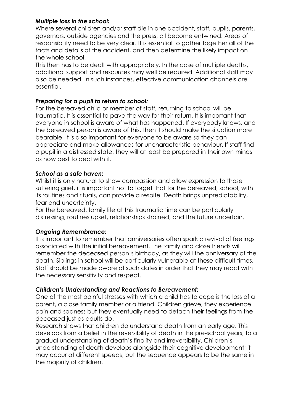#### *Multiple loss in the school:*

Where several children and/or staff die in one accident, staff, pupils, parents, governors, outside agencies and the press, all become entwined. Areas of responsibility need to be very clear. It is essential to gather together all of the facts and details of the accident, and then determine the likely impact on the whole school.

This then has to be dealt with appropriately. In the case of multiple deaths, additional support and resources may well be required. Additional staff may also be needed. In such instances, effective communication channels are essential.

# *Preparing for a pupil to return to school:*

For the bereaved child or member of staff, returning to school will be traumatic. It is essential to pave the way for their return. It is important that everyone in school is aware of what has happened. If everybody knows, and the bereaved person is aware of this, then it should make the situation more bearable. It is also important for everyone to be aware so they can appreciate and make allowances for uncharacteristic behaviour. If staff find a pupil in a distressed state, they will at least be prepared in their own minds as how best to deal with it.

#### *School as a safe haven:*

Whilst it is only natural to show compassion and allow expression to those suffering grief, it is important not to forget that for the bereaved, school, with its routines and rituals, can provide a respite. Death brings unpredictability, fear and uncertainty.

For the bereaved, family life at this traumatic time can be particularly distressing, routines upset, relationships strained, and the future uncertain.

# *Ongoing Remembrance:*

It is important to remember that anniversaries often spark a revival of feelings associated with the initial bereavement. The family and close friends will remember the deceased person's birthday, as they will the anniversary of the death. Siblings in school will be particularly vulnerable at these difficult times. Staff should be made aware of such dates in order that they may react with the necessary sensitivity and respect.

#### *Children's Understanding and Reactions to Bereavement:*

One of the most painful stresses with which a child has to cope is the loss of a parent, a close family member or a friend. Children grieve, they experience pain and sadness but they eventually need to detach their feelings from the deceased just as adults do.

Research shows that children do understand death from an early age. This develops from a belief in the reversibility of death in the pre-school years, to a gradual understanding of death's finality and irreversibility. Children's understanding of death develops alongside their cognitive development; it may occur at different speeds, but the sequence appears to be the same in the majority of children.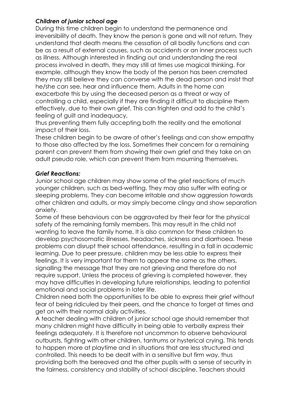#### *Children of junior school age*

During this time children begin to understand the permanence and irreversibility of death. They know the person is gone and will not return. They understand that death means the cessation of all bodily functions and can be as a result of external causes, such as accidents or an inner process such as illness. Although interested in finding out and understanding the real process involved in death, they may still at times use magical thinking. For example, although they know the body of the person has been cremated they may still believe they can converse with the dead person and insist that he/she can see, hear and influence them. Adults in the home can exacerbate this by using the deceased person as a threat or way of controlling a child, especially if they are finding it difficult to discipline them effectively, due to their own grief. This can frighten and add to the child's feeling of guilt and inadequacy,

thus preventing them fully accepting both the reality and the emotional impact of their loss.

These children begin to be aware of other's feelings and can show empathy to those also affected by the loss. Sometimes their concern for a remaining parent can prevent them from showing their own grief and they take on an adult pseudo role, which can prevent them from mourning themselves.

#### *Grief Reactions:*

Junior school age children may show some of the grief reactions of much younger children, such as bed-wetting. They may also suffer with eating or sleeping problems. They can become irritable and show aggression towards other children and adults, or may simply become clingy and show separation anxiety.

Some of these behaviours can be aggravated by their fear for the physical safety of the remaining family members. This may result in the child not wanting to leave the family home. It is also common for these children to develop psychosomatic illnesses, headaches, sickness and diarrhoea. These problems can disrupt their school attendance, resulting in a fall in academic learning. Due to peer pressure, children may be less able to express their feelings. It is very important for them to appear the same as the others, signalling the message that they are not grieving and therefore do not require support. Unless the process of grieving is completed however, they may have difficulties in developing future relationships, leading to potential emotional and social problems in later life.

Children need both the opportunities to be able to express their grief without fear of being ridiculed by their peers, and the chance to forget at times and get on with their normal daily activities.

A teacher dealing with children of junior school age should remember that many children might have difficulty in being able to verbally express their feelings adequately. It is therefore not uncommon to observe behavioural outbursts, fighting with other children, tantrums or hysterical crying. This tends to happen more at playtime and in situations that are less structured and controlled. This needs to be dealt with in a sensitive but firm way, thus providing both the bereaved and the other pupils with a sense of security in the fairness, consistency and stability of school discipline. Teachers should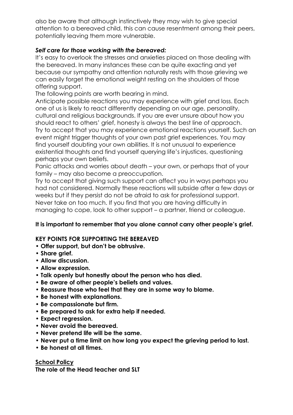also be aware that although instinctively they may wish to give special attention to a bereaved child, this can cause resentment among their peers, potentially leaving them more vulnerable.

#### *Self care for those working with the bereaved:*

It's easy to overlook the stresses and anxieties placed on those dealing with the bereaved. In many instances these can be quite exacting and yet because our sympathy and attention naturally rests with those grieving we can easily forget the emotional weight resting on the shoulders of those offering support.

The following points are worth bearing in mind.

Anticipate possible reactions you may experience with grief and loss. Each one of us is likely to react differently depending on our age, personality, cultural and religious backgrounds. If you are ever unsure about how you should react to others' grief, honesty is always the best line of approach. Try to accept that you may experience emotional reactions yourself. Such an event might trigger thoughts of your own past grief experiences. You may find yourself doubting your own abilities. It is not unusual to experience existential thoughts and find yourself querying life's injustices, questioning perhaps your own beliefs.

Panic attacks and worries about death – your own, or perhaps that of your family – may also become a preoccupation.

Try to accept that giving such support can affect you in ways perhaps you had not considered. Normally these reactions will subside after a few days or weeks but if they persist do not be afraid to ask for professional support. Never take on too much. If you find that you are having difficulty in managing to cope, look to other support – a partner, friend or colleague.

# **It is important to remember that you alone cannot carry other people's grief.**

#### **KEY POINTS FOR SUPPORTING THE BEREAVED**

- **Offer support, but don't be obtrusive.**
- **Share grief.**
- **Allow discussion.**
- **Allow expression.**
- **Talk openly but honestly about the person who has died.**
- **Be aware of other people's beliefs and values.**
- **Reassure those who feel that they are in some way to blame.**
- **Be honest with explanations.**
- **Be compassionate but firm.**
- **Be prepared to ask for extra help if needed.**
- **Expect regression.**
- **Never avoid the bereaved.**
- **Never pretend life will be the same.**
- **Never put a time limit on how long you expect the grieving period to last.**
- **Be honest at all times.**

**School Policy**

**The role of the Head teacher and SLT**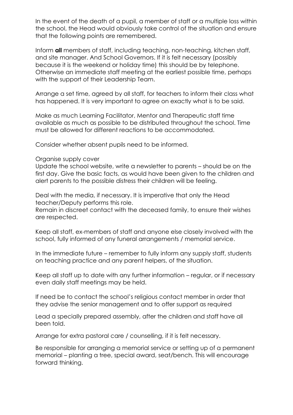In the event of the death of a pupil, a member of staff or a multiple loss within the school, the Head would obviously take control of the situation and ensure that the following points are remembered.

Inform **all** members of staff, including teaching, non-teaching, kitchen staff, and site manager. And School Governors. If it is felt necessary (possibly because it is the weekend or holiday time) this should be by telephone. Otherwise an immediate staff meeting at the earliest possible time, perhaps with the support of their Leadership Team.

Arrange a set time, agreed by all staff, for teachers to inform their class what has happened. It is very important to agree on exactly what is to be said.

Make as much Learning Facilitator, Mentor and Therapeutic staff time available as much as possible to be distributed throughout the school. Time must be allowed for different reactions to be accommodated.

Consider whether absent pupils need to be informed.

Organise supply cover

Update the school website, write a newsletter to parents – should be on the first day. Give the basic facts, as would have been given to the children and alert parents to the possible distress their children will be feeling.

Deal with the media, if necessary. It is imperative that only the Head teacher/Deputy performs this role.

Remain in discreet contact with the deceased family, to ensure their wishes are respected.

Keep all staff, ex-members of staff and anyone else closely involved with the school, fully informed of any funeral arrangements / memorial service.

In the immediate future – remember to fully inform any supply staff, students on teaching practice and any parent helpers, of the situation.

Keep all staff up to date with any further information – regular, or if necessary even daily staff meetings may be held.

If need be to contact the school's religious contact member in order that they advise the senior management and to offer support as required

Lead a specially prepared assembly, after the children and staff have all been told.

Arrange for extra pastoral care / counselling, if it is felt necessary.

Be responsible for arranging a memorial service or setting up of a permanent memorial – planting a tree, special award, seat/bench. This will encourage forward thinking.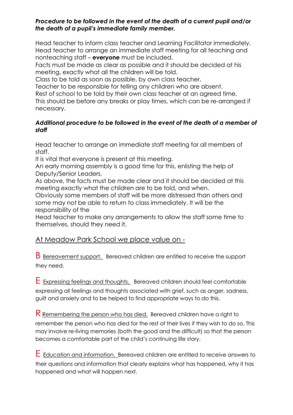#### *Procedure to be followed in the event of the death of a current pupil and/or the death of a pupil's immediate family member.*

Head teacher to inform class teacher and Learning Facilitator immediately. Head teacher to arrange an immediate staff meeting for all teaching and nonteaching staff – **everyone** must be included.

Facts must be made as clear as possible and it should be decided at his meeting, exactly what all the children will be told.

Class to be told as soon as possible, by own class teacher.

Teacher to be responsible for telling any children who are absent.

Rest of school to be told by their own class teacher at an agreed time. This should be before any breaks or play times, which can be re-arranged if necessary.

# *Additional procedure to be followed in the event of the death of a member of staff*

Head teacher to arrange an immediate staff meeting for all members of staff.

It is vital that everyone is present at this meeting.

An early morning assembly is a good time for this, enlisting the help of Deputy/Senior Leaders.

As above, the facts must be made clear and it should be decided at this meeting exactly what the children are to be told, and when.

Obviously some members of staff will be more distressed than others and some may not be able to return to class immediately. It will be the responsibility of the

Head teacher to make any arrangements to allow the staff some time to themselves, should they need it.

# At Meadow Park School we place value on -

B Bereavement support. Bereaved children are entitled to receive the support they need.

E Expressing feelings and thoughts. Bereaved children should feel comfortable expressing all feelings and thoughts associated with grief, such as anger, sadness, guilt and anxiety and to be helped to find appropriate ways to do this.

R Remembering th<u>e person who has died.</u> Bereaved children have a right to remember the person who has died for the rest of their lives if they wish to do so. This may involve re-living memories (both the good and the difficult) so that the person becomes a comfortable part of the child's continuing life story.

E Education and information. Bereaved children are entitled to receive answers to their questions and information that clearly explains what has happened, why it has happened and what will happen next.